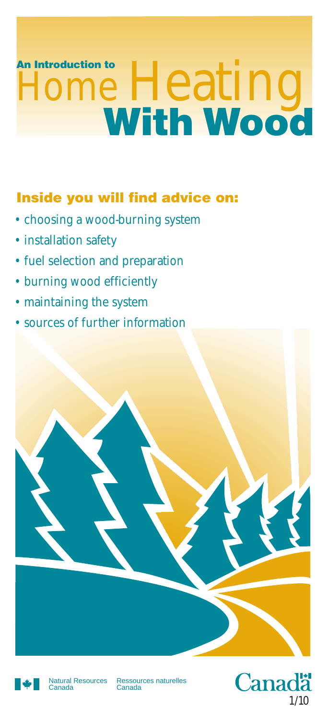# **An Introduction to Heating**

## **Inside you will find advice on:**

- choosing a wood-burning system
- installation safety
- fuel selection and preparation
- burning wood efficiently
- maintaining the system
- sources of further information





Natural Resources Canada

Ressources naturelles Canada

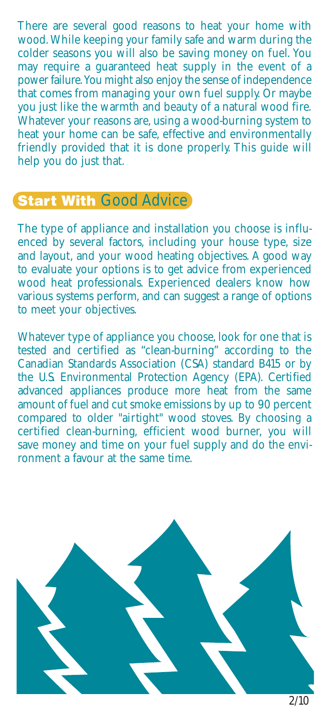There are several good reasons to heat your home with wood. While keeping your family safe and warm during the colder seasons you will also be saving money on fuel. You may require a guaranteed heat supply in the event of a power failure. You might also enjoy the sense of independence that comes from managing your own fuel supply. Or maybe you just like the warmth and beauty of a natural wood fire. Whatever your reasons are, using a wood-burning system to heat your home can be safe, effective and environmentally friendly provided that it is done properly. This guide will help you do just that.

# **Start With Good Advice**

The type of appliance and installation you choose is influenced by several factors, including your house type, size and layout, and your wood heating objectives. A good way to evaluate your options is to get advice from experienced wood heat professionals. Experienced dealers know how various systems perform, and can suggest a range of options to meet your objectives.

Whatever type of appliance you choose, look for one that is tested and certified as "clean-burning" according to the Canadian Standards Association (CSA) standard B415 or by the U.S. Environmental Protection Agency (EPA). Certified advanced appliances produce more heat from the same amount of fuel and cut smoke emissions by up to 90 percent compared to older "airtight" wood stoves. By choosing a certified clean-burning, efficient wood burner, you will save money and time on your fuel supply and do the environment a favour at the same time.

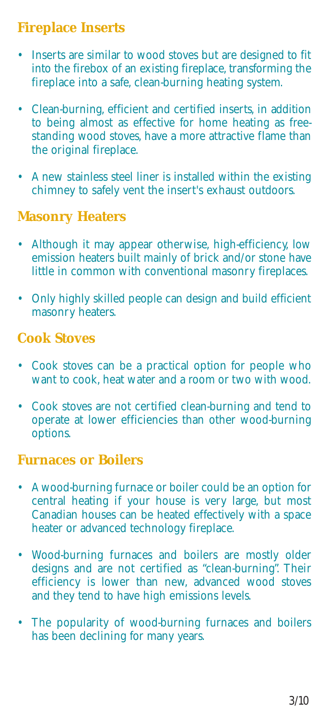## **Fireplace Inserts**

- Inserts are similar to wood stoves but are designed to fit into the firebox of an existing fireplace, transforming the fireplace into a safe, clean-burning heating system.
- Clean-burning, efficient and certified inserts, in addition to being almost as effective for home heating as freestanding wood stoves, have a more attractive flame than the original fireplace.
- A new stainless steel liner is installed within the existing chimney to safely vent the insert's exhaust outdoors.

#### **Masonry Heaters**

- Although it may appear otherwise, high-efficiency, low emission heaters built mainly of brick and/or stone have little in common with conventional masonry fireplaces.
- Only highly skilled people can design and build efficient masonry heaters.

#### **Cook Stoves**

- Cook stoves can be a practical option for people who want to cook, heat water and a room or two with wood.
- Cook stoves are not certified clean-burning and tend to operate at lower efficiencies than other wood-burning options.

#### **Furnaces or Boilers**

- A wood-burning furnace or boiler could be an option for central heating if your house is very large, but most Canadian houses can be heated effectively with a space heater or advanced technology fireplace.
- Wood-burning furnaces and boilers are mostly older designs and are not certified as "clean-burning". Their efficiency is lower than new, advanced wood stoves and they tend to have high emissions levels.
- The popularity of wood-burning furnaces and boilers has been declining for many years.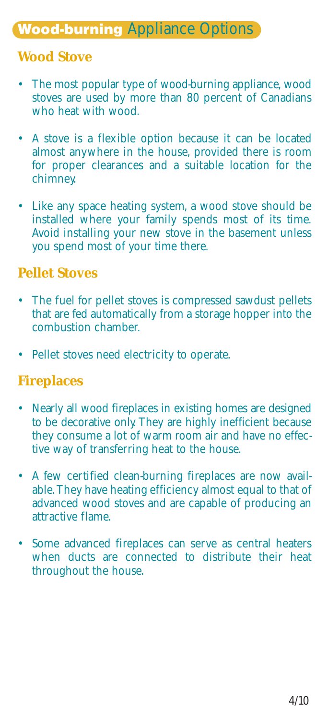# **Wood-burning** Appliance Options

#### **Wood Stove**

- The most popular type of wood-burning appliance, wood stoves are used by more than 80 percent of Canadians who heat with wood.
- A stove is a flexible option because it can be located almost anywhere in the house, provided there is room for proper clearances and a suitable location for the chimney.
- Like any space heating system, a wood stove should be installed where your family spends most of its time. Avoid installing your new stove in the basement unless you spend most of your time there.

#### **Pellet Stoves**

- The fuel for pellet stoves is compressed sawdust pellets that are fed automatically from a storage hopper into the combustion chamber.
- Pellet stoves need electricity to operate.

#### **Fireplaces**

- Nearly all wood fireplaces in existing homes are designed to be decorative only. They are highly inefficient because they consume a lot of warm room air and have no effective way of transferring heat to the house.
- A few certified clean-burning fireplaces are now available. They have heating efficiency almost equal to that of advanced wood stoves and are capable of producing an attractive flame.
- Some advanced fireplaces can serve as central heaters when ducts are connected to distribute their heat throughout the house.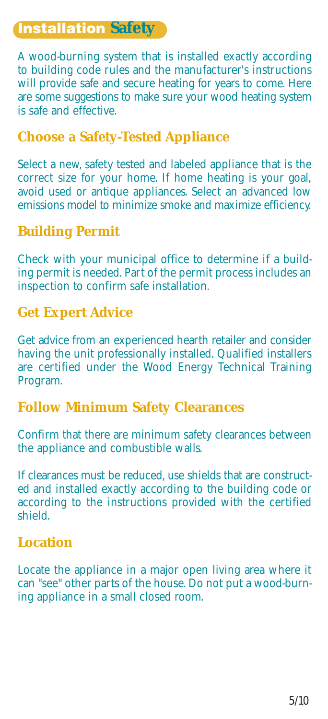## **Installation Safety**

A wood-burning system that is installed exactly according to building code rules and the manufacturer's instructions will provide safe and secure heating for years to come. Here are some suggestions to make sure your wood heating system is safe and effective.

#### **Choose a Safety-Tested Appliance**

Select a new, safety tested and labeled appliance that is the correct size for your home. If home heating is your goal, avoid used or antique appliances. Select an advanced low emissions model to minimize smoke and maximize efficiency.

#### **Building Permit**

Check with your municipal office to determine if a building permit is needed. Part of the permit process includes an inspection to confirm safe installation.

#### **Get Expert Advice**

Get advice from an experienced hearth retailer and consider having the unit professionally installed. Qualified installers are certified under the Wood Energy Technical Training Program.

#### **Follow Minimum Safety Clearances**

Confirm that there are minimum safety clearances between the appliance and combustible walls.

If clearances must be reduced, use shields that are constructed and installed exactly according to the building code or according to the instructions provided with the certified shield.

#### **Location**

Locate the appliance in a major open living area where it can "see" other parts of the house. Do not put a wood-burning appliance in a small closed room.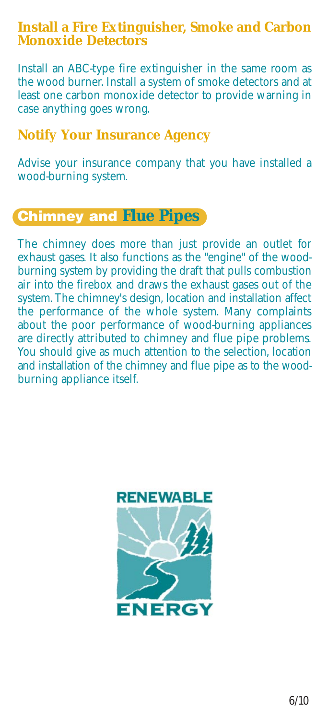#### **Install a Fire Extinguisher, Smoke and Carbon Monoxide Detectors**

Install an ABC-type fire extinguisher in the same room as the wood burner. Install a system of smoke detectors and at least one carbon monoxide detector to provide warning in case anything goes wrong.

#### **Notify Your Insurance Agency**

Advise your insurance company that you have installed a wood-burning system.

## **Chimney and Flue Pipes**

The chimney does more than just provide an outlet for exhaust gases. It also functions as the "engine" of the woodburning system by providing the draft that pulls combustion air into the firebox and draws the exhaust gases out of the system. The chimney's design, location and installation affect the performance of the whole system. Many complaints about the poor performance of wood-burning appliances are directly attributed to chimney and flue pipe problems. You should give as much attention to the selection, location and installation of the chimney and flue pipe as to the woodburning appliance itself.

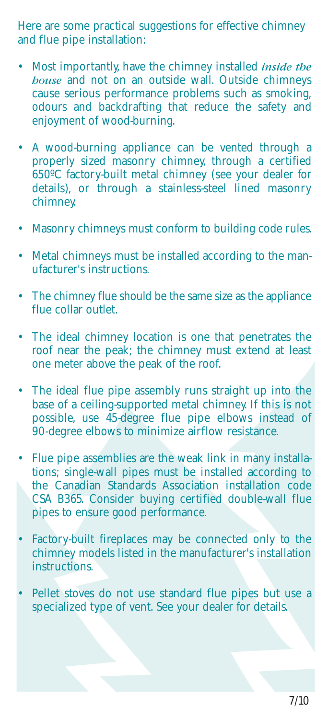Here are some practical suggestions for effective chimney and flue pipe installation:

- Most importantly, have the chimney installed *inside the house* and not on an outside wall. Outside chimneys cause serious performance problems such as smoking, odours and backdrafting that reduce the safety and enjoyment of wood-burning.
- A wood-burning appliance can be vented through a properly sized masonry chimney, through a certified 650ºC factory-built metal chimney (see your dealer for details), or through a stainless-steel lined masonry chimney.
- Masonry chimneys must conform to building code rules.
- Metal chimneys must be installed according to the manufacturer's instructions.
- The chimney flue should be the same size as the appliance flue collar outlet.
- The ideal chimney location is one that penetrates the roof near the peak; the chimney must extend at least one meter above the peak of the roof.
- The ideal flue pipe assembly runs straight up into the base of a ceiling-supported metal chimney. If this is not possible, use 45-degree flue pipe elbows instead of 90-degree elbows to minimize airflow resistance.
- Flue pipe assemblies are the weak link in many installations; single-wall pipes must be installed according to the Canadian Standards Association installation code CSA B365. Consider buying certified double-wall flue pipes to ensure good performance.
- Factory-built fireplaces may be connected only to the chimney models listed in the manufacturer's installation instructions.
- Pellet stoves do not use standard flue pipes but use a specialized type of vent. See your dealer for details.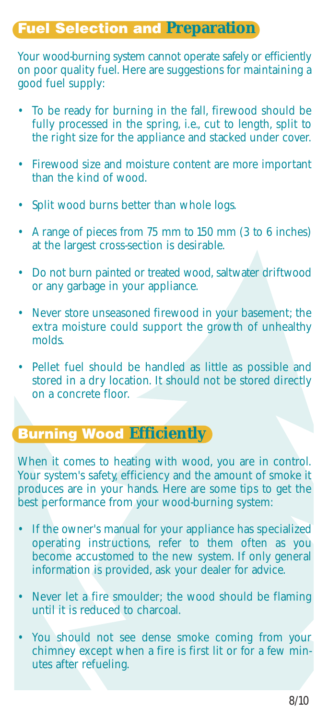# **Fuel Selection and Preparation**

Your wood-burning system cannot operate safely or efficiently on poor quality fuel. Here are suggestions for maintaining a good fuel supply:

- To be ready for burning in the fall, firewood should be fully processed in the spring, i.e., cut to length, split to the right size for the appliance and stacked under cover.
- Firewood size and moisture content are more important than the kind of wood.
- Split wood burns better than whole logs.
- A range of pieces from 75 mm to 150 mm (3 to 6 inches) at the largest cross-section is desirable.
- Do not burn painted or treated wood, saltwater driftwood or any garbage in your appliance.
- Never store unseasoned firewood in your basement; the extra moisture could support the growth of unhealthy molds.
- Pellet fuel should be handled as little as possible and stored in a dry location. It should not be stored directly on a concrete floor.

### **Burning Wood Efficiently**

When it comes to heating with wood, you are in control. Your system's safety, efficiency and the amount of smoke it produces are in your hands. Here are some tips to get the best performance from your wood-burning system:

- If the owner's manual for your appliance has specialized operating instructions, refer to them often as you become accustomed to the new system. If only general information is provided, ask your dealer for advice.
- Never let a fire smoulder; the wood should be flaming until it is reduced to charcoal.
- You should not see dense smoke coming from your chimney except when a fire is first lit or for a few minutes after refueling.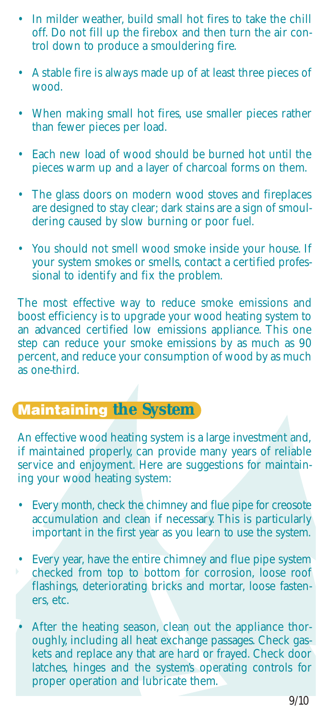- In milder weather, build small hot fires to take the chill off. Do not fill up the firebox and then turn the air control down to produce a smouldering fire.
- A stable fire is always made up of at least three pieces of wood.
- When making small hot fires, use smaller pieces rather than fewer pieces per load.
- Each new load of wood should be burned hot until the pieces warm up and a layer of charcoal forms on them.
- The glass doors on modern wood stoves and fireplaces are designed to stay clear; dark stains are a sign of smouldering caused by slow burning or poor fuel.
- You should not smell wood smoke inside your house. If your system smokes or smells, contact a certified professional to identify and fix the problem.

The most effective way to reduce smoke emissions and boost efficiency is to upgrade your wood heating system to an advanced certified low emissions appliance. This one step can reduce your smoke emissions by as much as 90 percent, and reduce your consumption of wood by as much as one-third.

# **Maintaining the System**

An effective wood heating system is a large investment and, if maintained properly, can provide many years of reliable service and enjoyment. Here are suggestions for maintaining your wood heating system:

- Every month, check the chimney and flue pipe for creosote accumulation and clean if necessary. This is particularly important in the first year as you learn to use the system.
- Every year, have the entire chimney and flue pipe system checked from top to bottom for corrosion, loose roof flashings, deteriorating bricks and mortar, loose fasteners, etc.
- After the heating season, clean out the appliance thoroughly, including all heat exchange passages. Check gaskets and replace any that are hard or frayed. Check door latches, hinges and the system's operating controls for proper operation and lubricate them.